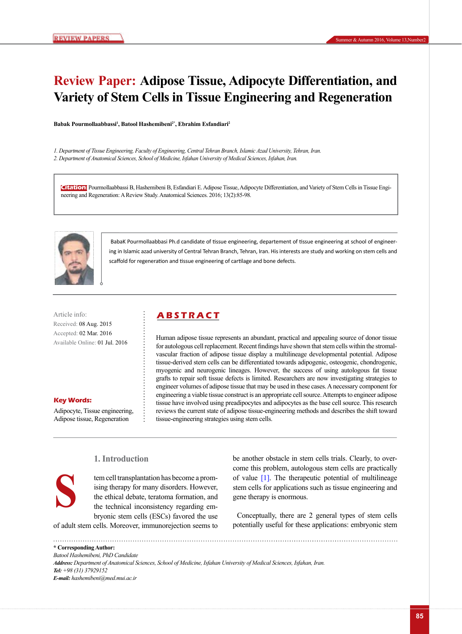# **Review Paper: Adipose Tissue, Adipocyte Differentiation, and Variety of Stem Cells in Tissue Engineering and Regeneration**

Babak Pourmollaabbassi<sup>1</sup>, Batool Hashemibeni<sup>2\*</sup>, Ebrahim Esfandiari<sup>2</sup>

*1. Department of Tissue Engineering, Faculty of Engineering, Central Tehran Branch, Islamic Azad University, Tehran, Iran. 2. Department of Anatomical Sciences, School of Medicine, Isfahan University of Medical Sciences, Isfahan, Iran.*

**Citation:** Pourmollaabbassi B, Hashemibeni B, Esfandiari E. Adipose Tissue, Adipocyte Differentiation, and Variety of Stem Cells in Tissue Engineering and Regeneration: A Review Study. Anatomical Sciences. 2016; 13(2):85-98.



 BabaK Pourmollaabbasi Ph.d candidate of tissue engineering, departement of tissue engineering at school of engineering in Islamic azad university of Central Tehran Branch, Tehran, Iran. His interests are study and working on stem cells and scaffold for regeneration and tissue engineering of cartilage and bone defects.

Received: 08 Aug. 2015 Accepted: 02 Mar. 2016 Available Online: 01 Jul. 2016

#### **Key Words:**

Adipocyte, Tissue engineering, Adipose tissue, Regeneration

# Article info: **ABSTRACT**

Human adipose tissue represents an abundant, practical and appealing source of donor tissue for autologous cell replacement. Recent findings have shown that stem cells within the stromalvascular fraction of adipose tissue display a multilineage developmental potential. Adipose tissue-derived stem cells can be differentiated towards adipogenic, osteogenic, chondrogenic, myogenic and neurogenic lineages. However, the success of using autologous fat tissue grafts to repair soft tissue defects is limited. Researchers are now investigating strategies to engineer volumes of adipose tissue that may be used in these cases. A necessary component for engineering a viable tissue construct is an appropriate cell source. Attempts to engineer adipose tissue have involved using preadipocytes and adipocytes as the base cell source. This research reviews the current state of adipose tissue-engineering methods and describes the shift toward tissue-engineering strategies using stem cells.

# **S**

# **1. Introduction**

tem cell transplantation has become a promising therapy for many disorders. However, the ethical debate, teratoma formation, and the technical inconsistency regarding embryonic stem cells (ESCs) favored the use

of adult stem cells. Moreover, immunorejection seems to

be another obstacle in stem cells trials. Clearly, to overcome this problem, autologous stem cells are practically of value [\[1\]](#page-7-0). The therapeutic potential of multilineage stem cells for applications such as tissue engineering and gene therapy is enormous.

Conceptually, there are 2 general types of stem cells potentially useful for these applications: embryonic stem

**\* Corresponding Author:**

*Batool Hashemibeni, PhD Candidate Address: Department of Anatomical Sciences, School of Medicine, Isfahan University of Medical Sciences, Isfahan, Iran. Tel: +98 (31) 37929152 E-mail: hashemibeni@med.mui.ac.ir*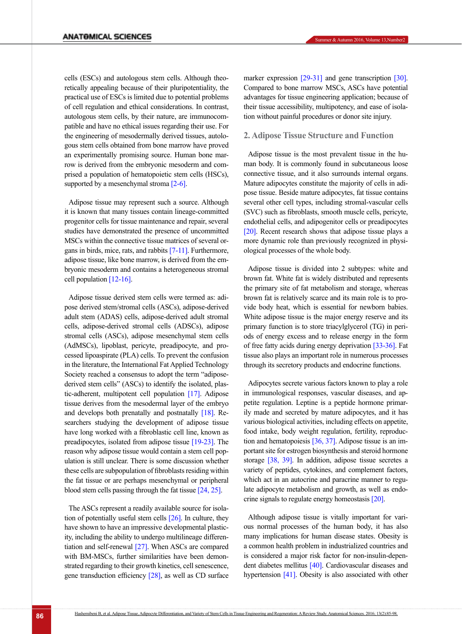cells (ESCs) and autologous stem cells. Although theoretically appealing because of their pluripotentiality, the practical use of ESCs is limited due to potential problems of cell regulation and ethical considerations. In contrast, autologous stem cells, by their nature, are immunocompatible and have no ethical issues regarding their use. For the engineering of mesodermally derived tissues, autologous stem cells obtained from bone marrow have proved an experimentally promising source. Human bone marrow is derived from the embryonic mesoderm and comprised a population of hematopoietic stem cells (HSCs), supported by a mesenchymal stroma [\[2-6\]](#page-7-1).

Adipose tissue may represent such a source. Although it is known that many tissues contain lineage-committed progenitor cells for tissue maintenance and repair, several studies have demonstrated the presence of uncommitted MSCs within the connective tissue matrices of several organs in birds, mice, rats, and rabbits [7-11]. Furthermore, adipose tissue, like bone marrow, is derived from the embryonic mesoderm and contains a heterogeneous stromal cell population [\[12-16\]](#page-8-0).

Adipose tissue derived stem cells were termed as: adipose derived stem/stromal cells (ASCs), adipose-derived adult stem (ADAS) cells, adipose-derived adult stromal cells, adipose-derived stromal cells (ADSCs), adipose stromal cells (ASCs), adipose mesenchymal stem cells (AdMSCs), lipoblast, pericyte, preadipocyte, and processed lipoaspirate (PLA) cells. To prevent the confusion in the literature, the International Fat Applied Technology Society reached a consensus to adopt the term "adiposederived stem cells" (ASCs) to identify the isolated, plastic-adherent, multipotent cell population [\[17\].](#page-8-1) Adipose tissue derives from the mesodermal layer of the embryo and develops both prenatally and postnatally [\[18\].](#page-8-2) Researchers studying the development of adipose tissue have long worked with a fibroblastic cell line, known as preadipocytes, isolated from adipose tissue [\[19-23\].](#page-8-3) The reason why adipose tissue would contain a stem cell population is still unclear. There is some discussion whether these cells are subpopulation of fibroblasts residing within the fat tissue or are perhaps mesenchymal or peripheral blood stem cells passing through the fat tissue [\[24,](#page-8-4) [25\]](#page-8-5).

The ASCs represent a readily available source for isolation of potentially useful stem cells [\[26\]](#page-8-6). In culture, they have shown to have an impressive developmental plasticity, including the ability to undergo multilineage differentiation and self-renewal [\[27\]](#page-8-7). When ASCs are compared with BM-MSCs, further similarities have been demonstrated regarding to their growth kinetics, cell senescence, gene transduction efficiency [\[28\]](#page-8-8), as well as CD surface marker expression [\[29-31\]](#page-8-9) and gene transcription [\[30\]](#page-8-10). Compared to bone marrow MSCs, ASCs have potential advantages for tissue engineering application; because of their tissue accessibility, multipotency, and ease of isolation without painful procedures or donor site injury.

#### **2. Adipose Tissue Structure and Function**

Adipose tissue is the most prevalent tissue in the human body. It is commonly found in subcutaneous loose connective tissue, and it also surrounds internal organs. Mature adipocytes constitute the majority of cells in adipose tissue. Beside mature adipocytes, fat tissue contains several other cell types, including stromal-vascular cells (SVC) such as fibroblasts, smooth muscle cells, pericyte, endothelial cells, and adipogenitor cells or preadipocytes [\[20\]](#page-8-11). Recent research shows that adipose tissue plays a more dynamic role than previously recognized in physiological processes of the whole body.

Adipose tissue is divided into 2 subtypes: white and brown fat. White fat is widely distributed and represents the primary site of fat metabolism and storage, whereas brown fat is relatively scarce and its main role is to provide body heat, which is essential for newborn babies. White adipose tissue is the major energy reserve and its primary function is to store triacylglycerol (TG) in periods of energy excess and to release energy in the form of free fatty acids during energy deprivation [\[33-36\]](#page-8-12). Fat tissue also plays an important role in numerous processes through its secretory products and endocrine functions.

Adipocytes secrete various factors known to play a role in immunological responses, vascular diseases, and appetite regulation. Leptine is a peptide hormone primarily made and secreted by mature adipocytes, and it has various biological activities, including effects on appetite, food intake, body weight regulation, fertility, reproduction and hematopoiesis [36, [37\]](#page-9-0). Adipose tissue is an important site for estrogen biosynthesis and steroid hormone storage [\[38,](#page-9-1) [39\]](#page-9-2). In addition, adipose tissue secretes a variety of peptides, cytokines, and complement factors, which act in an autocrine and paracrine manner to regulate adipocyte metabolism and growth, as well as endocrine signals to regulate energy homeostasis [\[20\]](#page-8-11).

Although adipose tissue is vitally important for various normal processes of the human body, it has also many implications for human disease states. Obesity is a common health problem in industrialized countries and is considered a major risk factor for non-insulin-dependent diabetes mellitus [\[40\].](#page-9-3) Cardiovascular diseases and hypertension [41]. Obesity is also associated with other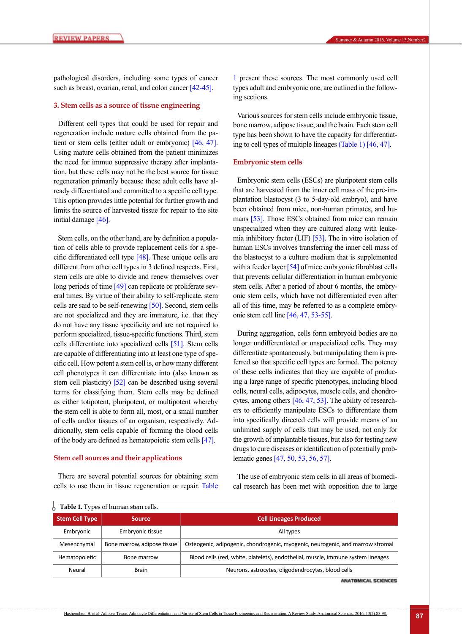pathological disorders, including some types of cancer such as breast, ovarian, renal, and colon cancer [42-45].

#### **3. Stem cells as a source of tissue engineering**

Different cell types that could be used for repair and regeneration include mature cells obtained from the patient or stem cells (either adult or embryonic) [\[46,](#page-9-4) [47\]](#page-9-5). Using mature cells obtained from the patient minimizes the need for immuo suppressive therapy after implantation, but these cells may not be the best source for tissue regeneration primarily because these adult cells have already differentiated and committed to a specific cell type. This option provides little potential for further growth and limits the source of harvested tissue for repair to the site initial damage [\[46\].](#page-9-4)

Stem cells, on the other hand, are by definition a population of cells able to provide replacement cells for a specific differentiated cell type  $[48]$ . These unique cells are different from other cell types in 3 defined respects. First, stem cells are able to divide and renew themselves over long periods of time [\[49\]](#page-9-7) can replicate or proliferate several times. By virtue of their ability to self-replicate, stem cells are said to be self-renewing [50]. Second, stem cells are not specialized and they are immature, i.e. that they do not have any tissue specificity and are not required to perform specialized, tissue-specific functions. Third, stem cells differentiate into specialized cells [\[51\]](#page-9-8). Stem cells are capable of differentiating into at least one type of specific cell. How potent a stem cell is, or how many different cell phenotypes it can differentiate into (also known as stem cell plasticity) [\[52\]](#page-9-9) can be described using several terms for classifying them. Stem cells may be defined as either totipotent, pluripotent, or multipotent whereby the stem cell is able to form all, most, or a small number of cells and/or tissues of an organism, respectively. Additionally, stem cells capable of forming the blood cells of the body are defined as hematopoietic stem cells [\[47\]](#page-9-5).

#### **Stem cell sources and their applications**

There are several potential sources for obtaining stem cells to use them in tissue regeneration or repair. [Table](#page-2-0) 

[1](#page-2-0) present these sources. The most commonly used cell types adult and embryonic one, are outlined in the following sections.

Various sources for stem cells include embryonic tissue, bone marrow, adipose tissue, and the brain. Each stem cell type has been shown to have the capacity for differentiating to cell types of multiple lineages [\(Table 1\)](#page-2-0) [\[46,](#page-9-4) [47\].](#page-9-5)

#### **Embryonic stem cells**

Embryonic stem cells (ESCs) are pluripotent stem cells that are harvested from the inner cell mass of the pre-implantation blastocyst (3 to 5-day-old embryo), and have been obtained from mice, non-human primates, and hu-mans [\[53\].](#page-9-10) Those ESCs obtained from mice can remain unspecialized when they are cultured along with leukemia inhibitory factor (LIF) [\[53\]](#page-9-10). The in vitro isolation of human ESCs involves transferring the inner cell mass of the blastocyst to a culture medium that is supplemented with a feeder layer [\[54\]](#page-9-11) of mice embryonic fibroblast cells that prevents cellular differentiation in human embryonic stem cells. After a period of about 6 months, the embryonic stem cells, which have not differentiated even after all of this time, may be referred to as a complete embryonic stem cell line [\[46,](#page-9-4) [47,](#page-9-5) [53-55\]](#page-9-10).

During aggregation, cells form embryoid bodies are no longer undifferentiated or unspecialized cells. They may differentiate spontaneously, but manipulating them is preferred so that specific cell types are formed. The potency of these cells indicates that they are capable of producing a large range of specific phenotypes, including blood cells, neural cells, adipocytes, muscle cells, and chondrocytes, among others [\[46,](#page-9-4) [47,](#page-9-5) [53\].](#page-9-10) The ability of researchers to efficiently manipulate ESCs to differentiate them into specifically directed cells will provide means of an unlimited supply of cells that may be used, not only for the growth of implantable tissues, but also for testing new drugs to cure diseases or identification of potentially problematic genes [\[47,](#page-9-5) 50, [53,](#page-9-10) [56,](#page-9-12) [57\]](#page-9-13).

The use of embryonic stem cells in all areas of biomedical research has been met with opposition due to large

<span id="page-2-0"></span>

| Table 1. Types of human stem cells. |                             |                                                                                  |
|-------------------------------------|-----------------------------|----------------------------------------------------------------------------------|
| <b>Stem Cell Type</b>               | <b>Source</b>               | <b>Cell Lineages Produced</b>                                                    |
| Embryonic                           | Embryonic tissue            | All types                                                                        |
| Mesenchymal                         | Bone marrow, adipose tissue | Osteogenic, adipogenic, chondrogenic, myogenic, neurogenic, and marrow stromal   |
| Hematopoietic                       | Bone marrow                 | Blood cells (red, white, platelets), endothelial, muscle, immune system lineages |
| Neural                              | <b>Brain</b>                | Neurons, astrocytes, oligodendrocytes, blood cells                               |

**ANATOMICAL SCIENCES**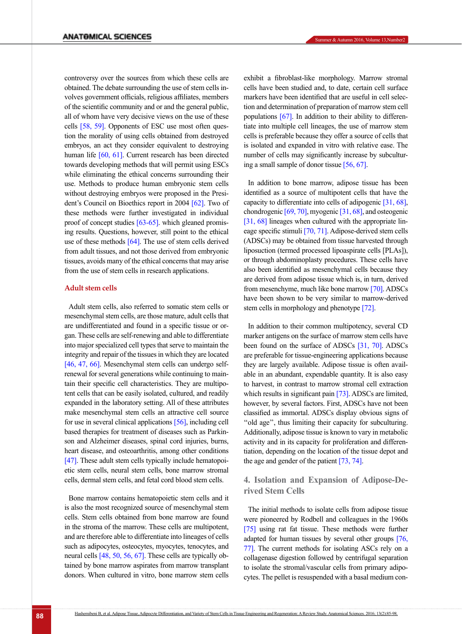controversy over the sources from which these cells are obtained. The debate surrounding the use of stem cells involves government officials, religious affiliates, members of the scientific community and or and the general public, all of whom have very decisive views on the use of these cells [\[58,](#page-9-14) 59]. Opponents of ESC use most often question the morality of using cells obtained from destroyed embryos, an act they consider equivalent to destroying human life [\[60,](#page-9-15) 61]. Current research has been directed towards developing methods that will permit using ESCs while eliminating the ethical concerns surrounding their use. Methods to produce human embryonic stem cells without destroying embryos were proposed in the President's Council on Bioethics report in 2004 [62]. Two of these methods were further investigated in individual proof of concept studies [\[63-65\]](#page-9-16). which gleaned promising results. Questions, however, still point to the ethical use of these methods  $[64]$ . The use of stem cells derived from adult tissues, and not those derived from embryonic tissues, avoids many of the ethical concerns that may arise from the use of stem cells in research applications.

#### **Adult stem cells**

Adult stem cells, also referred to somatic stem cells or mesenchymal stem cells, are those mature, adult cells that are undifferentiated and found in a specific tissue or organ. These cells are self-renewing and able to differentiate into major specialized cell types that serve to maintain the integrity and repair of the tissues in which they are located [\[46,](#page-9-4) [47,](#page-9-5) [66\]](#page-10-0). Mesenchymal stem cells can undergo selfrenewal for several generations while continuing to maintain their specific cell characteristics. They are multipotent cells that can be easily isolated, cultured, and readily expanded in the laboratory setting. All of these attributes make mesenchymal stem cells an attractive cell source for use in several clinical applications [\[56\],](#page-9-12) including cell based therapies for treatment of diseases such as Parkinson and Alzheimer diseases, spinal cord injuries, burns, heart disease, and osteoarthritis, among other conditions [\[47\]](#page-9-5). These adult stem cells typically include hematopoietic stem cells, neural stem cells, bone marrow stromal cells, dermal stem cells, and fetal cord blood stem cells.

Bone marrow contains hematopoietic stem cells and it is also the most recognized source of mesenchymal stem cells. Stem cells obtained from bone marrow are found in the stroma of the marrow. These cells are multipotent, and are therefore able to differentiate into lineages of cells such as adipocytes, osteocytes, myocytes, tenocytes, and neural cells [\[48,](#page-9-6) 50, [56,](#page-9-12) [67\]](#page-10-1). These cells are typically obtained by bone marrow aspirates from marrow transplant donors. When cultured in vitro, bone marrow stem cells exhibit a fibroblast-like morphology. Marrow stromal cells have been studied and, to date, certain cell surface markers have been identified that are useful in cell selection and determination of preparation of marrow stem cell populations  $[67]$ . In addition to their ability to differentiate into multiple cell lineages, the use of marrow stem cells is preferable because they offer a source of cells that is isolated and expanded in vitro with relative ease. The number of cells may significantly increase by subculturing a small sample of donor tissue [\[56,](#page-9-12) [67\]](#page-10-1).

In addition to bone marrow, adipose tissue has been identified as a source of multipotent cells that have the capacity to differentiate into cells of adipogenic [31, [68\]](#page-10-2), chondrogenic [69, [70\]](#page-10-3), myogenic [31, [68\]](#page-10-2), and osteogenic [31, [68\]](#page-10-2) lineages when cultured with the appropriate lineage specific stimuli [\[70,](#page-10-3) [71\]](#page-10-4). Adipose-derived stem cells (ADSCs) may be obtained from tissue harvested through liposuction (termed processed lipoaspirate cells [PLAs]), or through abdominoplasty procedures. These cells have also been identified as mesenchymal cells because they are derived from adipose tissue which is, in turn, derived from mesenchyme, much like bone marrow [\[70\]](#page-10-3). ADSCs have been shown to be very similar to marrow-derived stem cells in morphology and phenotype [\[72\].](#page-10-5)

In addition to their common multipotency, several CD marker antigens on the surface of marrow stem cells have been found on the surface of ADSCs [31, [70\].](#page-10-3) ADSCs are preferable for tissue-engineering applications because they are largely available. Adipose tissue is often available in an abundant, expendable quantity. It is also easy to harvest, in contrast to marrow stromal cell extraction which results in significant pain [\[73\]](#page-10-6). ADSCs are limited, however, by several factors. First, ADSCs have not been classified as immortal. ADSCs display obvious signs of ''old age'', thus limiting their capacity for subculturing. Additionally, adipose tissue is known to vary in metabolic activity and in its capacity for proliferation and differentiation, depending on the location of the tissue depot and the age and gender of the patient [\[73,](#page-10-6) [74\]](#page-10-7).

### **4. Isolation and Expansion of Adipose-Derived Stem Cells**

The initial methods to isolate cells from adipose tissue were pioneered by Rodbell and colleagues in the 1960s [\[75\]](#page-10-8) using rat fat tissue. These methods were further adapted for human tissues by several other groups [\[76,](#page-10-9)  [77\]](#page-10-10). The current methods for isolating ASCs rely on a collagenase digestion followed by centrifugal separation to isolate the stromal/vascular cells from primary adipocytes. The pellet is resuspended with a basal medium con-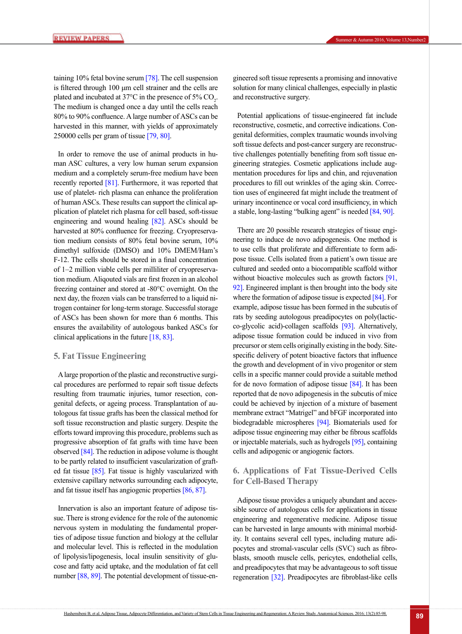taining  $10\%$  fetal bovine serum [\[78\]](#page-10-11). The cell suspension is filtered through 100 μm cell strainer and the cells are plated and incubated at 37 $\degree$ C in the presence of 5% CO<sub>2</sub>. The medium is changed once a day until the cells reach 80% to 90% confluence. A large number of ASCs can be harvested in this manner, with yields of approximately 250000 cells per gram of tissue [\[79,](#page-10-12) [80\]](#page-10-13).

In order to remove the use of animal products in human ASC cultures, a very low human serum expansion medium and a completely serum-free medium have been recently reported [\[81\]](#page-10-14). Furthermore, it was reported that use of platelet- rich plasma can enhance the proliferation of human ASCs. These results can support the clinical application of platelet rich plasma for cell based, soft-tissue engineering and wound healing [\[82\]](#page-10-15). ASCs should be harvested at 80% confluence for freezing. Cryopreservation medium consists of 80% fetal bovine serum, 10% dimethyl sulfoxide (DMSO) and 10% DMEM/Ham's F-12. The cells should be stored in a final concentration of 1–2 million viable cells per milliliter of cryopreservation medium. Aliqouted vials are first frozen in an alcohol freezing container and stored at -80°C overnight. On the next day, the frozen vials can be transferred to a liquid nitrogen container for long-term storage. Successful storage of ASCs has been shown for more than 6 months. This ensures the availability of autologous banked ASCs for clinical applications in the future [\[18,](#page-8-2) [83\]](#page-10-16).

#### **5. Fat Tissue Engineering**

A large proportion of the plastic and reconstructive surgical procedures are performed to repair soft tissue defects resulting from traumatic injuries, tumor resection, congenital defects, or ageing process. Transplantation of autologous fat tissue grafts has been the classical method for soft tissue reconstruction and plastic surgery. Despite the efforts toward improving this procedure, problems such as progressive absorption of fat grafts with time have been observed [\[84\]](#page-10-17). The reduction in adipose volume is thought to be partly related to insufficient vascularization of grafted fat tissue [\[85\]](#page-10-18). Fat tissue is highly vascularized with extensive capillary networks surrounding each adipocyte, and fat tissue itself has angiogenic properties [\[86,](#page-10-19) 87].

Innervation is also an important feature of adipose tissue. There is strong evidence for the role of the autonomic nervous system in modulating the fundamental properties of adipose tissue function and biology at the cellular and molecular level. This is reflected in the modulation of lipolysis/lipogenesis, local insulin sensitivity of glucose and fatty acid uptake, and the modulation of fat cell number [\[88,](#page-10-20) [89\].](#page-10-21) The potential development of tissue-engineered soft tissue represents a promising and innovative solution for many clinical challenges, especially in plastic and reconstructive surgery.

Potential applications of tissue-engineered fat include reconstructive, cosmetic, and corrective indications. Congenital deformities, complex traumatic wounds involving soft tissue defects and post-cancer surgery are reconstructive challenges potentially benefiting from soft tissue engineering strategies. Cosmetic applications include augmentation procedures for lips and chin, and rejuvenation procedures to fill out wrinkles of the aging skin. Correction uses of engineered fat might include the treatment of urinary incontinence or vocal cord insufficiency, in which a stable, long-lasting "bulking agent" is needed [\[84,](#page-10-17) [90\]](#page-10-22).

There are 20 possible research strategies of tissue engineering to induce de novo adipogenesis. One method is to use cells that proliferate and differentiate to form adipose tissue. Cells isolated from a patient's own tissue are cultured and seeded onto a biocompatible scaffold withor without bioactive molecules such as growth factors [91, [92\]](#page-10-23). Engineered implant is then brought into the body site where the formation of adipose tissue is expected [\[84\]](#page-10-17). For example, adipose tissue has been formed in the subcutis of rats by seeding autologous preadipocytes on poly(lacticco-glycolic acid)-collagen scaffolds [\[93\]](#page-10-24). Alternatively, adipose tissue formation could be induced in vivo from precursor or stem cells originally existing in the body. Sitespecific delivery of potent bioactive factors that influence the growth and development of in vivo progenitor or stem cells in a specific manner could provide a suitable method for de novo formation of adipose tissue [\[84\]](#page-10-17). It has been reported that de novo adipogenesis in the subcutis of mice could be achieved by injection of a mixture of basement membrane extract "Matrigel" and bFGF incorporated into biodegradable microspheres [\[94\]](#page-11-0). Biomaterials used for adipose tissue engineering may either be fibrous scaffolds or injectable materials, such as hydrogels [\[95\]](#page-11-1), containing cells and adipogenic or angiogenic factors.

## **6. Applications of Fat Tissue-Derived Cells for Cell-Based Therapy**

Adipose tissue provides a uniquely abundant and accessible source of autologous cells for applications in tissue engineering and regenerative medicine. Adipose tissue can be harvested in large amounts with minimal morbidity. It contains several cell types, including mature adipocytes and stromal-vascular cells (SVC) such as fibroblasts, smooth muscle cells, pericytes, endothelial cells, and preadipocytes that may be advantageous to soft tissue regeneration [\[32\]](#page-8-13). Preadipocytes are fibroblast-like cells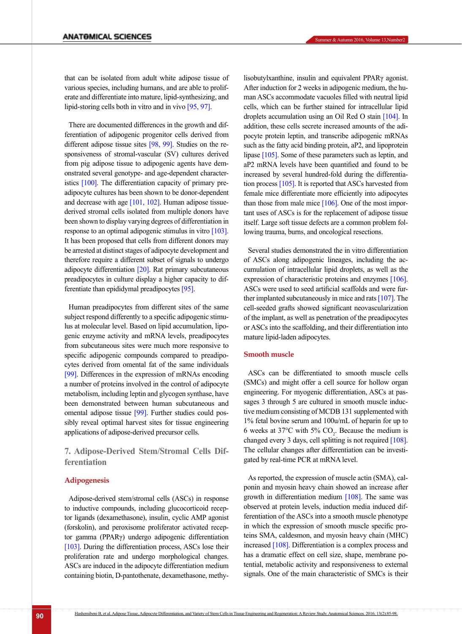that can be isolated from adult white adipose tissue of various species, including humans, and are able to proliferate and differentiate into mature, lipid-synthesizing, and lipid-storing cells both in vitro and in vivo [\[95,](#page-11-1) [97\]](#page-11-2).

There are documented differences in the growth and differentiation of adipogenic progenitor cells derived from different adipose tissue sites [98, [99\]](#page-11-3). Studies on the responsiveness of stromal-vascular (SV) cultures derived from pig adipose tissue to adipogenic agents have demonstrated several genotype- and age-dependent characteristics [\[100\]](#page-11-4). The differentiation capacity of primary preadipocyte cultures has been shown to be donor-dependent and decrease with age [\[101,](#page-11-5) 102]. Human adipose tissuederived stromal cells isolated from multiple donors have been shown to display varying degrees of differentiation in response to an optimal adipogenic stimulus in vitro [\[103\]](#page-11-6). It has been proposed that cells from different donors may be arrested at distinct stages of adipocyte development and therefore require a different subset of signals to undergo adipocyte differentiation [\[20\].](#page-8-11) Rat primary subcutaneous preadipocytes in culture display a higher capacity to differentiate than epididymal preadipocytes [\[95\]](#page-11-1).

Human preadipocytes from different sites of the same subject respond differently to a specific adipogenic stimulus at molecular level. Based on lipid accumulation, lipogenic enzyme activity and mRNA levels, preadipocytes from subcutaneous sites were much more responsive to specific adipogenic compounds compared to preadipocytes derived from omental fat of the same individuals [\[99\]](#page-11-3). Differences in the expression of mRNAs encoding a number of proteins involved in the control of adipocyte metabolism, including leptin and glycogen synthase, have been demonstrated between human subcutaneous and omental adipose tissue [\[99\]](#page-11-3). Further studies could possibly reveal optimal harvest sites for tissue engineering applications of adipose-derived precursor cells.

**7. Adipose-Derived Stem/Stromal Cells Differentiation**

#### **Adipogenesis**

Adipose-derived stem/stromal cells (ASCs) in response to inductive compounds, including glucocorticoid receptor ligands (dexamethasone), insulin, cyclic AMP agonist (forskolin), and peroxisome proliferator activated receptor gamma (PPARγ) undergo adipogenic differentiation [\[103\]](#page-11-6). During the differentiation process, ASCs lose their proliferation rate and undergo morphological changes. ASCs are induced in the adipocyte differentiation medium containing biotin, D-pantothenate, dexamethasone, methylisobutylxanthine, insulin and equivalent PPARγ agonist. After induction for 2 weeks in adipogenic medium, the human ASCs accommodate vacuoles filled with neutral lipid cells, which can be further stained for intracellular lipid droplets accumulation using an Oil Red O stain [\[104\]](#page-11-7). In addition, these cells secrete increased amounts of the adipocyte protein leptin, and transcribe adipogenic mRNAs such as the fatty acid binding protein, aP2, and lipoprotein lipase [\[105\]](#page-11-8). Some of these parameters such as leptin, and aP2 mRNA levels have been quantified and found to be increased by several hundred-fold during the differentiation process [\[105\]](#page-11-8). It is reported that ASCs harvested from female mice differentiate more efficiently into adipocytes than those from male mice  $[106]$ . One of the most important uses of ASCs is for the replacement of adipose tissue itself. Large soft tissue defects are a common problem following trauma, burns, and oncological resections.

Several studies demonstrated the in vitro differentiation of ASCs along adipogenic lineages, including the accumulation of intracellular lipid droplets, as well as the expression of characteristic proteins and enzymes [\[106\]](#page-11-9). ASCs were used to seed artificial scaffolds and were further implanted subcutaneously in mice and rats [\[107\]](#page-11-10). The cell-seeded grafts showed significant neovascularization of the implant, as well as penetration of the preadipocytes or ASCs into the scaffolding, and their differentiation into mature lipid-laden adipocytes.

#### **Smooth muscle**

ASCs can be differentiated to smooth muscle cells (SMCs) and might offer a cell source for hollow organ engineering. For myogenic differentiation, ASCs at passages 3 through 5 are cultured in smooth muscle inductive medium consisting of MCDB 131 supplemented with 1% fetal bovine serum and 100u/mL of heparin for up to 6 weeks at 37 $\degree$ C with 5% CO<sub>2</sub>. Because the medium is changed every 3 days, cell splitting is not required [108]. The cellular changes after differentiation can be investigated by real-time PCR at mRNA level.

As reported, the expression of muscle actin (SMA), calponin and myosin heavy chain showed an increase after growth in differentiation medium [108]. The same was observed at protein levels, induction media induced differentiation of the ASCs into a smooth muscle phenotype in which the expression of smooth muscle specific proteins SMA, caldesmon, and myosin heavy chain (MHC) increased [108]. Differentiation is a complex process and has a dramatic effect on cell size, shape, membrane potential, metabolic activity and responsiveness to external signals. One of the main characteristic of SMCs is their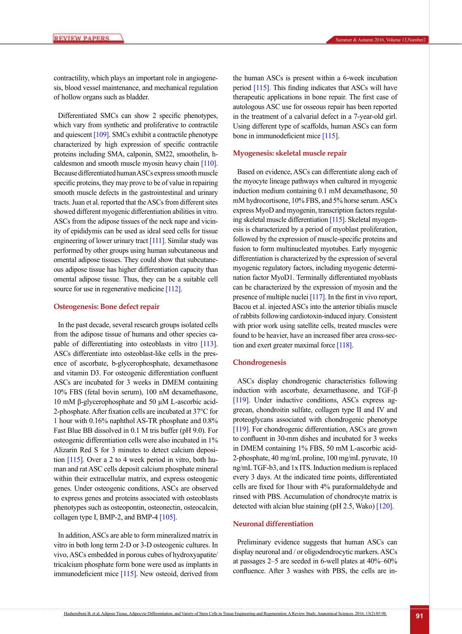contractility, which plays an important role in angiogenesis, blood vessel maintenance, and mechanical regulation of hollow organs such as bladder.

Differentiated SMCs can show 2 specific phenotypes, which vary from synthetic and proliferative to contractile and quiescent [\[109\].](#page-11-11) SMCs exhibit a contractile phenotype characterized by high expression of specific contractile proteins including SMA, calponin, SM22, smoothelin, hcaldesmon and smooth muscle myosin heavy chain [\[110\]](#page-11-12). Because differentiated human ASCs express smooth muscle specific proteins, they may prove to be of value in repairing smooth muscle defects in the gastrointestinal and urinary tracts. Juan et al. reported that the ASCs from different sites showed different myogenic differentiation abilities in vitro. ASCs from the adipose tissues of the neck nape and vicinity of epididymis can be used as ideal seed cells for tissue engineering of lower urinary tract [111]. Similar study was performed by other groups using human subcutaneous and omental adipose tissues. They could show that subcutaneous adipose tissue has higher differentiation capacity than omental adipose tissue. Thus, they can be a suitable cell source for use in regenerative medicine [\[112\]](#page-11-13).

#### **Osteogenesis: Bone defect repair**

In the past decade, several research groups isolated cells from the adipose tissue of humans and other species capable of differentiating into osteoblasts in vitro [\[113\]](#page-11-14). ASCs differentiate into osteoblast-like cells in the presence of ascorbate, b-glycerophosphate, dexamethasone and vitamin D3. For osteogenic differentiation confluent ASCs are incubated for 3 weeks in DMEM containing 10% FBS (fetal bovin serum), 100 nM dexamethasone, 10 mM β-glycerophosphate and 50 μM L-ascorbic acid-2-phosphate. After fixation cells are incubated at 37°C for 1 hour with 0.16% naphthol AS-TR phosphate and 0.8% Fast Blue BB dissolved in 0.1 M tris buffer (pH 9.0). For osteogenic differentiation cells were also incubated in 1% Alizarin Red S for 3 minutes to detect calcium deposition  $[115]$ . Over a 2 to 4 week period in vitro, both human and rat ASC cells deposit calcium phosphate mineral within their extracellular matrix, and express osteogenic genes. Under osteogenic conditions, ASCs are observed to express genes and proteins associated with osteoblasts phenotypes such as osteopontin, osteonectin, osteocalcin, collagen type I, BMP-2, and BMP-4  $[105]$ .

In addition, ASCs are able to form mineralized matrix in vitro in both long term 2-D or 3-D osteogenic cultures. In vivo, ASCs embedded in porous cubes of hydroxyapatite/ tricalcium phosphate form bone were used as implants in immunodeficient mice [\[115\]](#page-11-15). New osteoid, derived from the human ASCs is present within a 6-week incubation period [\[115\]](#page-11-15). This finding indicates that ASCs will have therapeutic applications in bone repair. The first case of autologous ASC use for osseous repair has been reported in the treatment of a calvarial defect in a 7-year-old girl. Using different type of scaffolds, human ASCs can form bone in immunodeficient mice [\[115\].](#page-11-15)

#### **Myogenesis: skeletal muscle repair**

Based on evidence, ASCs can differentiate along each of the myocyte lineage pathways when cultured in myogenic induction medium containing 0.1 mM dexamethasone, 50 mM hydrocortisone, 10% FBS, and 5% horse serum. ASCs express MyoD and myogenin, transcription factors regulating skeletal muscle differentiation [\[115\].](#page-11-15) Skeletal myogenesis is characterized by a period of myoblast proliferation, followed by the expression of muscle-specific proteins and fusion to form multinucleated myotubes. Early myogenic differentiation is characterized by the expression of several myogenic regulatory factors, including myogenic determination factor MyoD1. Terminally differentiated myoblasts can be characterized by the expression of myosin and the presence of multiple nuclei [\[117\]](#page-11-16). In the first in vivo report, Bacou et al. injected ASCs into the anterior tibialis muscle of rabbits following cardiotoxin-induced injury. Consistent with prior work using satellite cells, treated muscles were found to be heavier, have an increased fiber area cross-section and exert greater maximal force [118].

#### **Chondrogenesis**

ASCs display chondrogenic characteristics following induction with ascorbate, dexamethasone, and TGF-β [119]. Under inductive conditions, ASCs express aggrecan, chondroitin sulfate, collagen type II and IV and proteoglycans associated with chondrogenic phenotype [119]. For chondrogenic differentiation, ASCs are grown to confluent in 30-mm dishes and incubated for 3 weeks in DMEM containing 1% FBS, 50 mM L-ascorbic acid-2-phosphate, 40 mg/mL proline, 100 mg/mL pyruvate, 10 ng/mL TGF-b3, and 1x ITS. Induction medium is replaced every 3 days. At the indicated time points, differentiated cells are fixed for 1hour with 4% paraformaldehyde and rinsed with PBS. Accumulation of chondrocyte matrix is detected with alcian blue staining (pH 2.5, Wako) [120].

#### **Neuronal differentiation**

Preliminary evidence suggests that human ASCs can display neuronal and / or oligodendrocytic markers. ASCs at passages 2–5 are seeded in 6-well plates at 40%–60% confluence. After 3 washes with PBS, the cells are in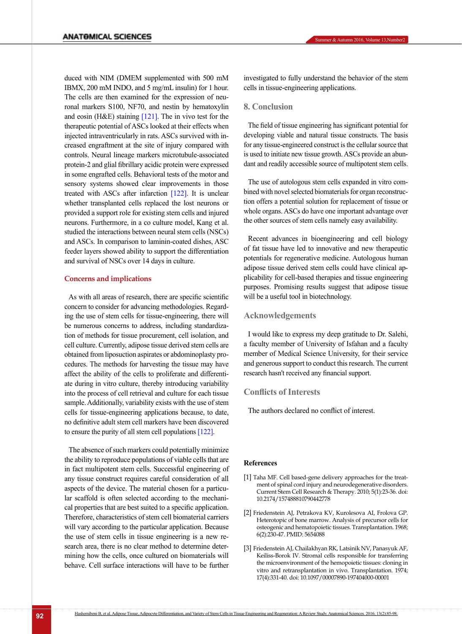duced with NIM (DMEM supplemented with 500 mM IBMX, 200 mM INDO, and 5 mg/mL insulin) for 1 hour. The cells are then examined for the expression of neuronal markers S100, NF70, and nestin by hematoxylin and eosin (H&E) staining  $[121]$ . The in vivo test for the therapeutic potential of ASCs looked at their effects when injected intraventricularly in rats. ASCs survived with increased engraftment at the site of injury compared with controls. Neural lineage markers microtubule-associated protein-2 and glial fibrillary acidic protein were expressed in some engrafted cells. Behavioral tests of the motor and sensory systems showed clear improvements in those treated with ASCs after infarction [\[122\]](#page-12-0). It is unclear whether transplanted cells replaced the lost neurons or provided a support role for existing stem cells and injured neurons. Furthermore, in a co culture model, Kang et al. studied the interactions between neural stem cells (NSCs) and ASCs. In comparison to laminin-coated dishes, ASC feeder layers showed ability to support the differentiation and survival of NSCs over 14 days in culture.

#### **Concerns and implications**

As with all areas of research, there are specific scientific concern to consider for advancing methodologies. Regarding the use of stem cells for tissue-engineering, there will be numerous concerns to address, including standardization of methods for tissue procurement, cell isolation, and cell culture. Currently, adipose tissue derived stem cells are obtained from liposuction aspirates or abdominoplasty procedures. The methods for harvesting the tissue may have affect the ability of the cells to proliferate and differentiate during in vitro culture, thereby introducing variability into the process of cell retrieval and culture for each tissue sample. Additionally, variability exists with the use of stem cells for tissue-engineering applications because, to date, no definitive adult stem cell markers have been discovered to ensure the purity of all stem cell populations [\[122\]](#page-12-0).

The absence of such markers could potentially minimize the ability to reproduce populations of viable cells that are in fact multipotent stem cells. Successful engineering of any tissue construct requires careful consideration of all aspects of the device. The material chosen for a particular scaffold is often selected according to the mechanical properties that are best suited to a specific application. Therefore, characteristics of stem cell biomaterial carriers will vary according to the particular application. Because the use of stem cells in tissue engineering is a new research area, there is no clear method to determine determining how the cells, once cultured on biomaterials will behave. Cell surface interactions will have to be further

investigated to fully understand the behavior of the stem cells in tissue-engineering applications.

#### **8. Conclusion**

The field of tissue engineering has significant potential for developing viable and natural tissue constructs. The basis for any tissue-engineered construct is the cellular source that is used to initiate new tissue growth. ASCs provide an abundant and readily accessible source of multipotent stem cells.

The use of autologous stem cells expanded in vitro combined with novel selected biomaterials for organ reconstruction offers a potential solution for replacement of tissue or whole organs. ASCs do have one important advantage over the other sources of stem cells namely easy availability.

Recent advances in bioengineering and cell biology of fat tissue have led to innovative and new therapeutic potentials for regenerative medicine. Autologous human adipose tissue derived stem cells could have clinical applicability for cell-based therapies and tissue engineering purposes. Promising results suggest that adipose tissue will be a useful tool in biotechnology.

#### **Acknowledgements**

I would like to express my deep gratitude to Dr. Salehi, a faculty member of University of Isfahan and a faculty member of Medical Science University, for their service and generous support to conduct this research. The current research hasn't received any financial support.

#### **Conflicts of Interests**

The authors declared no conflict of interest.

#### **References**

- <span id="page-7-0"></span>[1] Taha MF. Cell based-gene delivery approaches for the treatment of spinal cord injury and neurodegenerative disorders. Current Stem Cell Research & Therapy. 2010; 5(1):23-36. doi: 10.2174/157488810790442778
- <span id="page-7-1"></span>[2] Friedenstein AJ, Petrakova KV, Kurolesova AI, Frolova GP. Heterotopic of bone marrow. Analysis of precursor cells for osteogenic and hematopoietic tissues. Transplantation. 1968; 6(2):230-47. PMID: 5654088
- [3] Friedenstein AJ, Chailakhyan RK, Latsinik NV, Panasyuk AF, Keiliss-Borok IV. Stromal cells responsible for transferring the microenvironment of the hemopoietic tissues: cloning in vitro and retransplantation in vivo. Transplantation. 1974; 17(4):331-40. doi: 10.1097/00007890-197404000-00001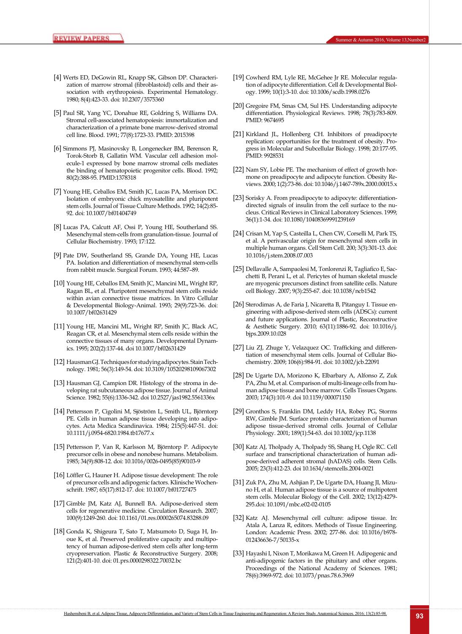- [4] Werts ED, DeGowin RL, Knapp SK, Gibson DP. Characterization of marrow stromal (fibroblastoid) cells and their association with erythropoiesis. Experimental Hematology. 1980; 8(4):423-33. doi: 10.2307/3575360
- [5] Paul SR, Yang YC, Donahue RE, Goldring S, Williams DA. Stromal cell-associated hematopoiesis: immortalization and characterization of a primate bone marrow-derived stromal cell line. Blood. 1991; 77(8):1723-33. PMID: 2015398
- [6] Simmons PJ, Masinovsky B, Longenecker BM, Berenson R, Torok-Storb B, Gallatin WM. Vascular cell adhesion molecule-1 expressed by bone marrow stromal cells mediates the binding of hematopoietic progenitor cells. Blood. 1992; 80(2):388-95. PMID:1378318
- [7] Young HE, Ceballos EM, Smith JC, Lucas PA, Morrison DC. Isolation of embryonic chick myosatellite and pluripotent stem cells. Journal of Tissue Culture Methods. 1992; 14(2):85- 92. doi: 10.1007/bf01404749
- [8] Lucas PA, Calcutt AF, Ossi P, Young HE, Southerland SS. Mesenchymal stem-cells from granulation-tissue. Journal of Cellular Biochemistry. 1993; 17:122.
- [9] Pate DW, Southerland SS, Grande DA, Young HE, Lucas PA. Isolation and differentiation of mesenchymal stem-cells from rabbit muscle. Surgical Forum. 1993; 44:587–89.
- [10] Young HE, Ceballos EM, Smith JC, Mancini ML, Wright RP, Ragan BL, et al. Pluripotent mesenchymal stem cells reside within avian connective tissue matrices. In Vitro Cellular & Developmental Biology-Animal. 1993; 29(9):723-36. doi: 10.1007/bf02631429
- [11] Young HE, Mancini ML, Wright RP, Smith JC, Black AC, Reagan CR, et al. Mesenchymal stem cells reside within the connective tissues of many organs. Developmental Dynamics. 1995; 202(2):137-44. doi 10.1007/bf02631429
- <span id="page-8-0"></span>[12] Hausman GJ. Techniques for studying adipocytes. Stain Technology. 1981; 56(3):149-54. doi: 10.3109/10520298109067302
- [13] Hausman GJ, Campion DR. Histology of the stroma in developing rat subcutaneous adipose tissue. Journal of Animal Science. 1982; 55(6):1336-342. doi 10.2527/jas1982.5561336x
- [14] Pettersson P, Cigolini M, Sjöström L, Smith UL, Björntorp PE. Cells in human adipose tissue developing into adipocytes. Acta Medica Scandinavica. 1984; 215(5):447-51. doi: 10.1111/j.0954-6820.1984.tb17677.x
- [15] Pettersson P, Van R, Karlsson M, Björntorp P. Adipocyte precursor cells in obese and nonobese humans. Metabolism. 1985; 34(9):808-12. doi: 10.1016/0026-0495(85)90103-9
- [16] Löffler G, Hauner H. Adipose tissue development: The role of precursor cells and adipogenic factors. Klinische Wochenschrift. 1987; 65(17):812-17. doi: 10.1007/bf01727475
- <span id="page-8-1"></span>[17] Gimble JM, Katz AJ, Bunnell BA. Adipose-derived stem cells for regenerative medicine. Circulation Research. 2007; 100(9):1249-260. doi: 10.1161/01.res.0000265074.83288.09
- <span id="page-8-2"></span>[18] Gonda K, Shigeura T, Sato T, Matsumoto D, Suga H, Inoue K, et al. Preserved proliferative capacity and multipotency of human adipose-derived stem cells after long-term cryopreservation. Plastic & Reconstructive Surgery. 2008; 121(2):401-10. doi: 01.prs.0000298322.70032.bc
- <span id="page-8-3"></span>[19] Cowherd RM, Lyle RE, McGehee Jr RE. Molecular regulation of adipocyte differentiation. Cell & Developmental Biology. 1999; 10(1):3-10. doi: 10.1006/scdb.1998.0276
- <span id="page-8-11"></span>[20] Gregoire FM, Smas CM, Sul HS. Understanding adipocyte differentiation. Physiological Reviews. 1998; 78(3):783-809. PMID: 9674695
- [21] Kirkland JL, Hollenberg CH. Inhibitors of preadipocyte replication: opportunities for the treatment of obesity. Progress in Molecular and Subcellular Biology. 1998; 20:177-95. PMID: 9928531
- [22] Nam SY, Lobie PE. The mechanism of effect of growth hormone on preadipocyte and adipocyte function. Obesity Reviews. 2000; 1(2):73-86. doi: 10.1046/j.1467-789x.2000.00015.x
- [23] Sorisky A. From preadipocyte to adipocyte: differentiationdirected signals of insulin from the cell surface to the nucleus. Critical Reviews in Clinical Laboratory Sciences. 1999; 36(1):1-34. doi: 10.1080/10408369991239169
- <span id="page-8-4"></span>[24] Crisan M, Yap S, Casteilla L, Chen CW, Corselli M, Park TS, et al. A perivascular origin for mesenchymal stem cells in multiple human organs. Cell Stem Cell. 200; 3(3):301-13. doi: 10.1016/j.stem.2008.07.003
- <span id="page-8-5"></span>[25] Dellavalle A, Sampaolesi M, Tonlorenzi R, Tagliafico E, Sacchetti B, Perani L, et al. Pericytes of human skeletal muscle are myogenic precursors distinct from satellite cells. Nature cell Biology. 2007; 9(3):255-67. doi: 10.1038/ncb1542
- <span id="page-8-6"></span>[26] Sterodimas A, de Faria J, Nicaretta B, Pitanguy I. Tissue engineering with adipose-derived stem cells (ADSCs): current and future applications. Journal of Plastic, Reconstructive & Aesthetic Surgery. 2010; 63(11):1886-92. doi: 10.1016/j. bjps.2009.10.028
- <span id="page-8-7"></span>[27] Liu ZJ, Zhuge Y, Velazquez OC. Trafficking and differentiation of mesenchymal stem cells. Journal of Cellular Biochemistry. 2009; 106(6):984-91. doi: 10.1002/jcb.22091
- <span id="page-8-8"></span>[28] De Ugarte DA, Morizono K, Elbarbary A, Alfonso Z, Zuk PA, Zhu M, et al. Comparison of multi-lineage cells from human adipose tissue and bone marrow. Cells Tissues Organs. 2003; 174(3):101-9. doi 10.1159/000071150
- <span id="page-8-9"></span>[29] Gronthos S, Franklin DM, Leddy HA, Robey PG, Storms RW, Gimble JM. Surface protein characterization of human adipose tissue‐derived stromal cells. Journal of Cellular Physiology. 2001; 189(1):54-63. doi 10.1002/jcp.1138
- <span id="page-8-10"></span>[30] Katz AJ, Tholpady A, Tholpady SS, Shang H, Ogle RC. Cell surface and transcriptional characterization of human adipose‐derived adherent stromal (hADAS) cells. Stem Cells. 2005; 23(3):412-23. doi 10.1634/stemcells.2004-0021
- [31] Zuk PA, Zhu M, Ashjian P, De Ugarte DA, Huang JI, Mizuno H, et al. Human adipose tissue is a source of multipotent stem cells. Molecular Biology of the Cell. 2002; 13(12):4279- 295.doi: 10.1091/mbc.e02-02-0105
- <span id="page-8-13"></span>[32] Katz AJ. Mesenchymal cell culture: adipose tissue. In: Atala A, Lanza R, editors. Methods of Tissue Engineering. London: Academic Press. 2002; 277-86. doi: 10.1016/b978- 012436636-7/50135-x
- <span id="page-8-12"></span>[33] Hayashi I, Nixon T, Morikawa M, Green H. Adipogenic and anti-adipogenic factors in the pituitary and other organs. Proceedings of the National Academy of Sciences. 1981; 78(6):3969-972. doi: 10.1073/pnas.78.6.3969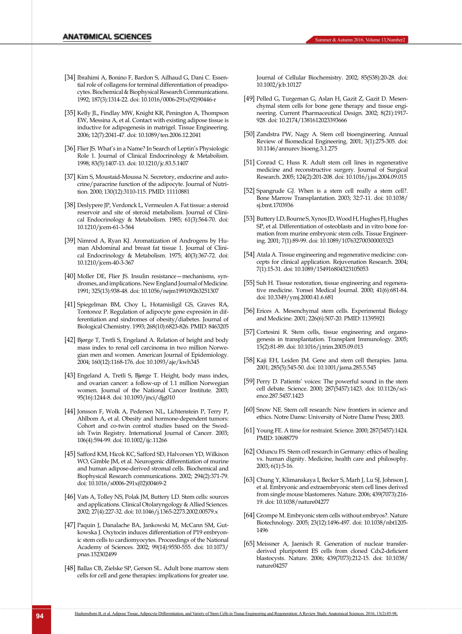- [34] Ibrahimi A, Bonino F, Bardon S, Ailhaud G, Dani C. Essential role of collagens for terminal differentiation of preadipocytes. Biochemical & Biophysical Research Communications. 1992; 187(3):1314-22. doi: 10.1016/0006-291x(92)90446-r
- [35] Kelly JL, Findlay MW, Knight KR, Penington A, Thompson EW, Messina A, et al. Contact with existing adipose tissue is inductive for adipogenesis in matrigel. Tissue Engineering. 2006; 12(7):2041-47. doi: 10.1089/ten.2006.12.2041
- [36] Flier JS. What's in a Name? In Search of Leptin's Physiologic Role 1. Journal of Clinical Endocrinology & Metabolism. 1998; 83(5):1407-13. doi: 10.1210/jc.83.5.1407
- <span id="page-9-0"></span>[37] Kim S, Moustaid-Moussa N. Secretory, endocrine and autocrine/paracrine function of the adipocyte. Journal of Nutrition. 2000; 130(12):3110-115. PMID: 11110881
- <span id="page-9-1"></span>[38] Deslypere JP, Verdonck L, Vermeulen A. Fat tissue: a steroid reservoir and site of steroid metabolism. Journal of Clinical Endocrinology & Metabolism. 1985; 61(3):564-70. doi: 10.1210/jcem-61-3-564
- <span id="page-9-2"></span>[39] Nimrod A, Ryan KJ. Aromatization of Androgens by Human Abdominal and breast fat tissue 1. Journal of Clinical Endocrinology & Metabolism. 1975; 40(3):367-72. doi: 10.1210/jcem-40-3-367
- <span id="page-9-3"></span>[40] Moller DE, Flier JS. Insulin resistance—mechanisms, syndromes, and implications. New England Journal of Medicine. 1991; 325(13):938-48. doi: 10.1056/nejm199109263251307
- [41] Spiegelman BM, Choy L, Hotamisligil GS, Graves RA, Tontonoz P. Regulation of adipocyte gene expresión in differentiation and sindromes of obesity/diabetes. Journal of Biological Chemistry. 1993; 268(10):6823-826. PMID: 8463205
- [42] Bjørge T, Tretli S, Engeland A. Relation of height and body mass index to renal cell carcinoma in two million Norwegian men and women. American Journal of Epidemiology. 2004; 160(12):1168-176. doi: 10.1093/aje/kwh345
- [43] Engeland A, Tretli S, Bjørge T. Height, body mass index, and ovarian cancer: a follow-up of 1.1 million Norwegian women. Journal of the National Cancer Institute. 2003; 95(16):1244-8. doi: 10.1093/jnci/djg010
- [44] Jonsson F, Wolk A, Pedersen NL, Lichtenstein P, Terry P, Ahlbom A, et al. Obesity and hormone‐dependent tumors: Cohort and co-twin control studies based on the Swedish Twin Registry. International Journal of Cancer. 2003; 106(4):594-99. doi: 10.1002/ijc.11266
- [45] Safford KM, Hicok KC, Safford SD, Halvorsen YD, Wilkison WO, Gimble JM, et al. Neurogenic differentiation of murine and human adipose-derived stromal cells. Biochemical and Biophysical Research communications. 2002; 294(2):371-79. doi: 10.1016/s0006-291x(02)00469-2
- <span id="page-9-4"></span>[46] Vats A, Tolley NS, Polak JM, Buttery LD. Stem cells: sources and applications. Clinical Otolaryngology & Allied Sciences. 2002; 27(4):227-32. doi: 10.1046/j.1365-2273.2002.00579.x
- <span id="page-9-5"></span>[47] Paquin J, Danalache BA, Jankowski M, McCann SM, Gutkowska J. Oxytocin induces differentiation of P19 embryonic stem cells to cardiomyocytes. Proceedings of the National Academy of Sciences. 2002; 99(14):9550-555. doi: 10.1073/ pnas.152302499
- <span id="page-9-6"></span>[48] Ballas CB, Zielske SP, Gerson SL. Adult bone marrow stem cells for cell and gene therapies: implications for greater use.

<span id="page-9-7"></span>Journal of Cellular Biochemistry. 2002; 85(S38):20-28. doi: 10.1002/jcb.10127

- [49] Pelled G, Turgeman G, Aslan H, Gazit Z, Gazit D. Mesenchymal stem cells for bone gene therapy and tissue engineering. Current Pharmaceutical Design. 2002; 8(21):1917- 928. doi: 10.2174/1381612023393666
- [50] Zandstra PW, Nagy A. Stem cell bioengineering. Annual Review of Biomedical Engineering. 2001; 3(1):275-305. doi: 10.1146/annurev.bioeng.3.1.275
- <span id="page-9-8"></span>[51] Conrad C, Huss R. Adult stem cell lines in regenerative medicine and reconstructive surgery. Journal of Surgical Research. 2005; 124(2):201-208. doi: 10.1016/j.jss.2004.09.015
- <span id="page-9-9"></span>[52] Spangrude GJ. When is a stem cell really a stem cell?. Bone Marrow Transplantation. 2003; 32:7-11. doi: 10.1038/ sj.bmt.1703936
- <span id="page-9-10"></span>[53] Buttery LD, Bourne S, Xynos JD, Wood H, Hughes FJ, Hughes SP, et al. Differentiation of osteoblasts and in vitro bone formation from murine embryonic stem cells. Tissue Engineering. 2001; 7(1):89-99. doi: 10.1089/107632700300003323
- <span id="page-9-11"></span>[54] Atala A. Tissue engineering and regenerative medicine: concepts for clinical application. Rejuvenation Research. 2004; 7(1):15-31. doi: 10.1089/154916804323105053
- [55] Suh H. Tissue restoration, tissue engineering and regenerative medicine. Yonsei Medical Journal. 2000; 41(6):681-84. doi: 10.3349/ymj.2000.41.6.681
- <span id="page-9-12"></span>[56] Erices A. Mesenchymal stem cells. Experimental Biology and Medicine. 2001; 226(6):507-20. PMID: 11395921
- <span id="page-9-13"></span>[57] Cortesini R. Stem cells, tissue engineering and organogenesis in transplantation. Transplant Immunology. 2005; 15(2):81-89. doi: 10.1016/j.trim.2005.09.013
- <span id="page-9-14"></span>[58] Kaji EH, Leiden JM. Gene and stem cell therapies. Jama. 2001; 285(5):545-50. doi: 10.1001/jama.285.5.545
- [59] Perry D. Patients' voices: The powerful sound in the stem cell debate. Science. 2000; 287(5457):1423. doi: 10.1126/science.287.5457.1423
- <span id="page-9-15"></span>[60] Snow NE. Stem cell research: New frontiers in science and ethics. Notre Dame: University of Notre Dame Press; 2003.
- [61] Young FE. A time for restraint. Science. 2000; 287(5457):1424. PMID: 10688779
- [62] Oduncu FS. Stem cell research in Germany: ethics of healing vs. human dignity. Medicine, health care and philosophy. 2003; 6(1):5-16.
- <span id="page-9-16"></span>[63] Chung Y, Klimanskaya I, Becker S, Marh J, Lu SJ, Johnson J, et al. Embryonic and extraembryonic stem cell lines derived from single mouse blastomeres. Nature. 2006; 439(7073):216- 19. doi: 10.1038/nature04277
- <span id="page-9-17"></span>[64] Grompe M. Embryonic stem cells without embryos?. Nature Biotechnology. 2005; 23(12):1496-497. doi: 10.1038/nbt1205- 1496
- [65] Meissner A, Jaenisch R. Generation of nuclear transferderived pluripotent ES cells from cloned Cdx2-deficient blastocysts. Nature. 2006; 439(7073):212-15. doi: 10.1038/ nature04257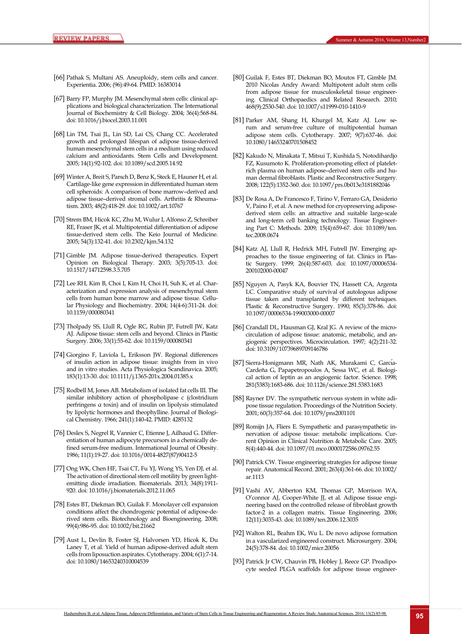- <span id="page-10-0"></span>[66] Pathak S, Multani AS. Aneuploidy, stem cells and cancer. Experientia. 2006; (96):49-64. PMID: 16383014
- <span id="page-10-1"></span>[67] Barry FP, Murphy JM. Mesenchymal stem cells: clinical applications and biological characterization. The International Journal of Biochemistry & Cell Biology. 2004; 36(4):568-84. doi: 10.1016/j.biocel.2003.11.001
- <span id="page-10-2"></span>[68] Lin TM, Tsai JL, Lin SD, Lai CS, Chang CC. Accelerated growth and prolonged lifespan of adipose tissue-derived human mesenchymal stem cells in a medium using reduced calcium and antioxidants. Stem Cells and Development. 2005; 14(1):92-102. doi: 10.1089/scd.2005.14.92
- [69] Winter A, Breit S, Parsch D, Benz K, Steck E, Hauner H, et al. Cartilage‐like gene expression in differentiated human stem cell spheroids: A comparison of bone marrow–derived and adipose tissue–derived stromal cells. Arthritis & Rheumatism. 2003; 48(2):418-29. doi: 10.1002/art.10767
- <span id="page-10-3"></span>[70] Strem BM, Hicok KC, Zhu M, Wulur I, Alfonso Z, Schreiber RE, Fraser JK, et al. Multipotential differentiation of adipose tissue-derived stem cells. The Keio Journal of Medicine. 2005; 54(3):132-41. doi: 10.2302/kjm.54.132
- <span id="page-10-4"></span>[71] Gimble JM. Adipose tissue-derived therapeutics. Expert Opinion on Biological Therapy. 2003; 3(5):705-13. doi: 10.1517/14712598.3.5.705
- <span id="page-10-5"></span>[72] Lee RH, Kim B, Choi I, Kim H, Choi H, Suh K, et al. Characterization and expression analysis of mesenchymal stem cells from human bone marrow and adipose tissue. Cellular Physiology and Biochemistry. 2004; 14(4-6):311-24. doi: 10.1159/000080341
- <span id="page-10-6"></span>[73] Tholpady SS, Llull R, Ogle RC, Rubin JP, Futrell JW, Katz AJ. Adipose tissue: stem cells and beyond. Clinics in Plastic Surgery. 2006; 33(1):55-62. doi: 10.1159/000080341
- <span id="page-10-7"></span>[74] Giorgino F, Laviola L, Eriksson JW. Regional differences of insulin action in adipose tissue: insights from in vivo and in vitro studies. Acta Physiologica Scandinavica. 2005; 183(1):13-30. doi: 10.1111/j.1365-201x.2004.01385.x
- <span id="page-10-8"></span>[75] Rodbell M, Jones AB. Metabolism of isolated fat cells III. The similar inhibitory action of phospholipase c (clostridium perfringens α toxin) and of insulin on lipolysis stimulated by lipolytic hormones and theophylline. Journal of Biological Chemistry. 1966; 241(1):140-42. PMID: 4285132
- <span id="page-10-9"></span>[76] Deslex S, Negrel R, Vannier C, Etienne J, Ailhaud G. Differentiation of human adipocyte precursors in a chemically defined serum-free medium. International Journal of Obesity. 1986; 11(1):19-27. doi: 10.1016/0014-4827(87)90412-5
- <span id="page-10-10"></span>[77] Ong WK, Chen HF, Tsai CT, Fu YJ, Wong YS, Yen DJ, et al. The activation of directional stem cell motility by green lightemitting diode irradiation. Biomaterials. 2013; 34(8):1911- 920. doi: 10.1016/j.biomaterials.2012.11.065
- <span id="page-10-11"></span>[78] Estes BT, Diekman BO, Guilak F. Monolayer cell expansion conditions affect the chondrogenic potential of adipose‐derived stem cells. Biotechnology and Bioengineering. 2008; 99(4):986-95. doi: 10.1002/bit.21662
- <span id="page-10-12"></span>[79] Aust L, Devlin B, Foster SJ, Halvorsen YD, Hicok K, Du Laney T, et al. Yield of human adipose-derived adult stem cells from liposuction aspirates. Cytotherapy. 2004; 6(1):7-14. doi: 10.1080/14653240310004539
- <span id="page-10-13"></span>[80] Guilak F, Estes BT, Diekman BO, Moutos FT, Gimble JM. 2010 Nicolas Andry Award: Multipotent adult stem cells from adipose tissue for musculoskeletal tissue engineering. Clinical Orthopaedics and Related Research. 2010; 468(9):2530-540. doi: 10.1007/s11999-010-1410-9
- <span id="page-10-14"></span>[81] Parker AM, Shang H, Khurgel M, Katz AJ. Low serum and serum-free culture of multipotential human adipose stem cells. Cytotherapy. 2007; 9(7):637-46. doi: 10.1080/14653240701508452
- <span id="page-10-15"></span>[82] Kakudo N, Minakata T, Mitsui T, Kushida S, Notodihardjo FZ, Kusumoto K. Proliferation-promoting effect of plateletrich plasma on human adipose–derived stem cells and human dermal fibroblasts. Plastic and Reconstructive Surgery. 2008; 122(5):1352-360. doi: 10.1097/prs.0b013e3181882046
- <span id="page-10-16"></span>[83] De Rosa A, De Francesco F, Tirino V, Ferraro GA, Desiderio V, Paino F, et al. A new method for cryopreserving adiposederived stem cells: an attractive and suitable large-scale and long-term cell banking technology. Tissue Engineering Part C: Methods. 2009; 15(4):659-67. doi: 10.1089/ten. tec.2008.0674
- <span id="page-10-17"></span>[84] Katz AJ, Llull R, Hedrick MH, Futrell JW. Emerging approaches to the tissue engineering of fat. Clinics in Plastic Surgery. 1999; 26(4):587-603. doi: 10.1097/00006534- 200102000-00047
- <span id="page-10-18"></span>[85] Nguyen A, Pasyk KA, Bouvier TN, Hassett CA, Argenta LC. Comparative study of survival of autologous adipose tissue taken and transplanted by different techniques. Plastic & Reconstructive Surgery. 1990; 85(3):378-86. doi: 10.1097/00006534-199003000-00007
- <span id="page-10-19"></span>[86] Crandall DL, Hausman GJ, Kral JG. A review of the microcirculation of adipose tissue: anatomic, metabolic, and angiogenic perspectives. Microcirculation. 1997; 4(2):211-32. doi: 10.3109/10739689709146786
- [87] Sierra-Honigmann MR, Nath AK, Murakami C, Garcıa-**́** Cardeña G, Papapetropoulos A, Sessa WC, et al. Biological action of leptin as an angiogenic factor. Science. 1998; 281(5383):1683-686. doi: 10.1126/science.281.5383.1683
- <span id="page-10-20"></span>[88] Rayner DV. The sympathetic nervous system in white adipose tissue regulation. Proceedings of the Nutrition Society. 2001; 60(3):357-64. doi: 10.1079/pns2001101
- <span id="page-10-21"></span>[89] Romijn JA, Fliers E. Sympathetic and parasympathetic innervation of adipose tissue: metabolic implications. Current Opinion in Clinical Nutrition & Metabolic Care. 2005; 8(4):440-44. doi: 10.1097/01.mco.0000172586.09762.55
- <span id="page-10-22"></span>[90] Patrick CW. Tissue engineering strategies for adipose tissue repair. Anatomical Record. 2001; 263(4):361-66. doi: 10.1002/ ar.1113
- [91] Vashi AV, Abberton KM, Thomas GP, Morrison WA, O'connor AJ, Cooper-White JJ, et al. Adipose tissue engineering based on the controlled release of fibroblast growth factor-2 in a collagen matrix. Tissue Engineering. 2006; 12(11):3035-43. doi: 10.1089/ten.2006.12.3035
- <span id="page-10-23"></span>[92] Walton RL, Beahm EK, Wu L. De novo adipose formation in a vascularized engineered construct. Microsurgery. 2004; 24(5):378-84. doi: 10.1002/micr.20056
- <span id="page-10-24"></span>[93] Patrick Jr CW, Chauvin PB, Hobley J, Reece GP. Preadipocyte seeded PLGA scaffolds for adipose tissue engineer-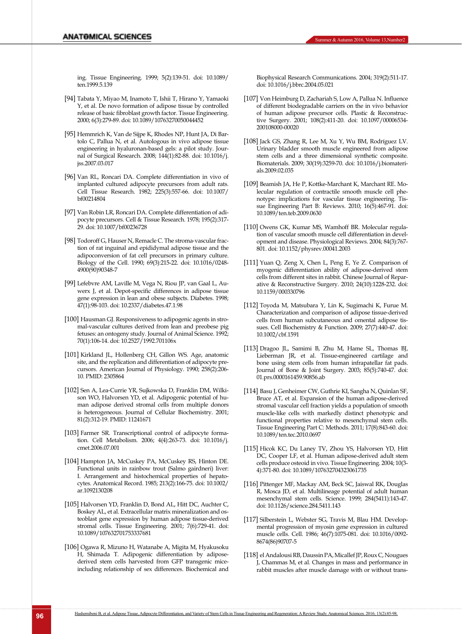<span id="page-11-0"></span>ing. Tissue Engineering. 1999; 5(2):139-51. doi: 10.1089/ ten.1999.5.139

- [94] Tabata Y, Miyao M, Inamoto T, Ishii T, Hirano Y, Yamaoki Y, et al. De novo formation of adipose tissue by controlled release of basic fibroblast growth factor. Tissue Engineering. 2000; 6(3):279-89. doi: 10.1089/10763270050044452
- <span id="page-11-1"></span>[95] Hemmrich K, Van de Sijpe K, Rhodes NP, Hunt JA, Di Bartolo C, Pallua N, et al. Autologous in vivo adipose tissue engineering in hyaluronan-based gels: a pilot study. Journal of Surgical Research. 2008; 144(1):82-88. doi: 10.1016/j. jss.2007.03.017
- [96] Van RL, Roncari DA. Complete differentiation in vivo of implanted cultured adipocyte precursors from adult rats. Cell Tissue Research. 1982; 225(3):557-66. doi: 10.1007/ bf00214804
- <span id="page-11-2"></span>[97] Van Robin LR, Roncari DA. Complete differentiation of adipocyte precursors. Cell & Tissue Research. 1978; 195(2):317- 29. doi: 10.1007/bf00236728
- [98] Todoroff G, Hauser N, Remacle C. The stroma‐vascular fraction of rat inguinal and epididymal adipose tissue and the adipoconversion of fat cell precursors in primary culture. Biology of the Cell. 1990; 69(3):215-22. doi: 10.1016/0248- 4900(90)90348-7
- <span id="page-11-3"></span>[99] Lefebvre AM, Laville M, Vega N, Riou JP, van Gaal L, Auwerx J, et al. Depot-specific differences in adipose tissue gene expression in lean and obese subjects. Diabetes. 1998; 47(1):98-103. doi: 10.2337/diabetes.47.1.98
- <span id="page-11-4"></span>[100] Hausman GJ. Responsiveness to adipogenic agents in stromal-vascular cultures derived from lean and preobese pig fetuses: an ontogeny study. Journal of Animal Science. 1992; 70(1):106-14. doi: 10.2527/1992.701106x
- <span id="page-11-5"></span>[101] Kirkland JL, Hollenberg CH, Gillon WS. Age, anatomic site, and the replication and differentiation of adipocyte precursors. American Journal of Physiology. 1990; 258(2):206- 10. PMID: 2305864
- [102] Sen A, Lea‐Currie YR, Sujkowska D, Franklin DM, Wilkison WO, Halvorsen YD, et al. Adipogenic potential of human adipose derived stromal cells from multiple donors is heterogeneous. Journal of Cellular Biochemistry. 2001; 81(2):312-19. PMID: 11241671
- <span id="page-11-6"></span>[103] Farmer SR. Transcriptional control of adipocyte formation. Cell Metabolism. 2006; 4(4):263-73. doi: 10.1016/j. cmet.2006.07.001
- <span id="page-11-7"></span>[104] Hampton JA, McCuskey PA, McCuskey RS, Hinton DE. Functional units in rainbow trout (Salmo gairdneri) liver: I. Arrangement and histochemical properties of hepatocytes. Anatomical Record. 1985; 213(2):166-75. doi: 10.1002/ ar.1092130208
- <span id="page-11-8"></span>[105] Halvorsen YD, Franklin D, Bond AL, Hitt DC, Auchter C, Boskey AL, et al. Extracellular matrix mineralization and osteoblast gene expression by human adipose tissue-derived stromal cells. Tissue Engineering. 2001; 7(6):729-41. doi: 10.1089/107632701753337681
- <span id="page-11-9"></span>[106] Ogawa R, Mizuno H, Watanabe A, Migita M, Hyakusoku H, Shimada T. Adipogenic differentiation by adiposederived stem cells harvested from GFP transgenic miceincluding relationship of sex differences. Biochemical and

<span id="page-11-10"></span>Biophysical Research Communications. 2004; 319(2):511-17. doi: 10.1016/j.bbrc.2004.05.021

- [107] Von Heimburg D, Zachariah S, Low A, Pallua N. Influence of different biodegradable carriers on the in vivo behavior of human adipose precursor cells. Plastic & Reconstructive Surgery. 2001; 108(2):411-20. doi: 10.1097/00006534- 200108000-00020
- [108] Jack GS, Zhang R, Lee M, Xu Y, Wu BM, Rodríguez LV. Urinary bladder smooth muscle engineered from adipose stem cells and a three dimensional synthetic composite. Biomaterials. 2009; 30(19):3259-70. doi: 10.1016/j.biomaterials.2009.02.035
- <span id="page-11-11"></span>[109] Beamish JA, He P, Kottke-Marchant K, Marchant RE. Molecular regulation of contractile smooth muscle cell phenotype: implications for vascular tissue engineering. Tissue Engineering Part B: Reviews. 2010; 16(5):467-91. doi: 10.1089/ten.teb.2009.0630
- <span id="page-11-12"></span>[110] Owens GK, Kumar MS, Wamhoff BR. Molecular regulation of vascular smooth muscle cell differentiation in development and disease. Physiological Reviews. 2004; 84(3):767- 801. doi: 10.1152/physrev.00041.2003
- [111] Yuan Q, Zeng X, Chen L, Peng E, Ye Z. Comparison of myogenic differentiation ability of adipose-derived stem cells from different sites in rabbit. Chinese Journal of Reparative & Reconstructive Surgery. 2010; 24(10):1228-232. doi: 10.1159/000330796
- <span id="page-11-13"></span>[112] Toyoda M, Matsubara Y, Lin K, Sugimachi K, Furue M. Characterization and comparison of adipose tissue‐derived cells from human subcutaneous and omental adipose tissues. Cell Biochemistry & Function. 2009; 27(7):440-47. doi: 10.1002/cbf.1591
- <span id="page-11-14"></span>[113] Dragoo JL, Samimi B, Zhu M, Hame SL, Thomas BJ, Lieberman JR, et al. Tissue-engineered cartilage and bone using stem cells from human infrapatellar fat pads. Journal of Bone & Joint Surgery. 2003; 85(5):740-47. doi: 01.prs.0000161459.90856.ab
- [114] Basu J, Genheimer CW, Guthrie KI, Sangha N, Quinlan SF, Bruce AT, et al. Expansion of the human adipose-derived stromal vascular cell fraction yields a population of smooth muscle-like cells with markedly distinct phenotypic and functional properties relative to mesenchymal stem cells. Tissue Engineering Part C: Methods. 2011; 17(8):843-60. doi: 10.1089/ten.tec.2010.0697
- <span id="page-11-15"></span>[115] Hicok KC, Du Laney TV, Zhou YS, Halvorsen YD, Hitt DC, Cooper LF, et al. Human adipose-derived adult stem cells produce osteoid in vivo. Tissue Engineering. 2004; 10(3- 4):371-80. doi: 10.1089/107632704323061735
- [116] Pittenger MF, Mackay AM, Beck SC, Jaiswal RK, Douglas R, Mosca JD, et al. Multilineage potential of adult human mesenchymal stem cells. Science. 1999; 284(5411):143-47. doi: 10.1126/science.284.5411.143
- <span id="page-11-16"></span>[117] Silberstein L, Webster SG, Travis M, Blau HM. Developmental progression of myosin gene expression in cultured muscle cells. Cell. 1986; 46(7):1075-081. doi: 10.1016/0092- 8674(86)90707-5
- [118] el Andalousi RB, Daussin PA, Micallef JP, Roux C, Nougues J, Chammas M, et al. Changes in mass and performance in rabbit muscles after muscle damage with or without trans-